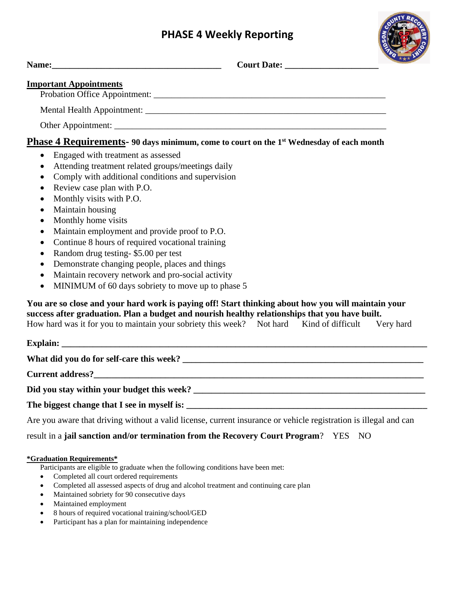## **PHASE 4 Weekly Reporting**



| Name: 2008. 2008. 2010. 2010. 2010. 2010. 2010. 2010. 2010. 2010. 2010. 2010. 2010. 2010. 2010. 2010. 2010. 20                                                                                                                                                                                                                                                                                                                                                                                                                                                                                                                                                                                                        |  | Court Date: <u>New York Court Date:</u> | <b>Quick X</b> |
|-----------------------------------------------------------------------------------------------------------------------------------------------------------------------------------------------------------------------------------------------------------------------------------------------------------------------------------------------------------------------------------------------------------------------------------------------------------------------------------------------------------------------------------------------------------------------------------------------------------------------------------------------------------------------------------------------------------------------|--|-----------------------------------------|----------------|
| <b>Important Appointments</b>                                                                                                                                                                                                                                                                                                                                                                                                                                                                                                                                                                                                                                                                                         |  |                                         |                |
|                                                                                                                                                                                                                                                                                                                                                                                                                                                                                                                                                                                                                                                                                                                       |  |                                         |                |
|                                                                                                                                                                                                                                                                                                                                                                                                                                                                                                                                                                                                                                                                                                                       |  |                                         |                |
| Other Appointment:                                                                                                                                                                                                                                                                                                                                                                                                                                                                                                                                                                                                                                                                                                    |  |                                         |                |
| Phase 4 Requirements- 90 days minimum, come to court on the 1 <sup>st</sup> Wednesday of each month                                                                                                                                                                                                                                                                                                                                                                                                                                                                                                                                                                                                                   |  |                                         |                |
| Engaged with treatment as assessed<br>$\bullet$<br>Attending treatment related groups/meetings daily<br>$\bullet$<br>Comply with additional conditions and supervision<br>$\bullet$<br>Review case plan with P.O.<br>$\bullet$<br>Monthly visits with P.O.<br>$\bullet$<br>Maintain housing<br>$\bullet$<br>Monthly home visits<br>$\bullet$<br>Maintain employment and provide proof to P.O.<br>$\bullet$<br>Continue 8 hours of required vocational training<br>$\bullet$<br>Random drug testing-\$5.00 per test<br>$\bullet$<br>Demonstrate changing people, places and things<br>Maintain recovery network and pro-social activity<br>$\bullet$<br>MINIMUM of 60 days sobriety to move up to phase 5<br>$\bullet$ |  |                                         |                |
| You are so close and your hard work is paying off! Start thinking about how you will maintain your<br>success after graduation. Plan a budget and nourish healthy relationships that you have built.<br>How hard was it for you to maintain your sobriety this week? Not hard Kind of difficult Very hard                                                                                                                                                                                                                                                                                                                                                                                                             |  |                                         |                |
|                                                                                                                                                                                                                                                                                                                                                                                                                                                                                                                                                                                                                                                                                                                       |  |                                         |                |
|                                                                                                                                                                                                                                                                                                                                                                                                                                                                                                                                                                                                                                                                                                                       |  |                                         |                |
|                                                                                                                                                                                                                                                                                                                                                                                                                                                                                                                                                                                                                                                                                                                       |  |                                         |                |
|                                                                                                                                                                                                                                                                                                                                                                                                                                                                                                                                                                                                                                                                                                                       |  |                                         |                |
| The biggest change that I see in myself is:                                                                                                                                                                                                                                                                                                                                                                                                                                                                                                                                                                                                                                                                           |  |                                         |                |

Are you aware that driving without a valid license, current insurance or vehicle registration is illegal and can

result in a **jail sanction and/or termination from the Recovery Court Program**? YES NO

## **\*Graduation Requirements\***

Participants are eligible to graduate when the following conditions have been met:

- Completed all court ordered requirements
- Completed all assessed aspects of drug and alcohol treatment and continuing care plan
- Maintained sobriety for 90 consecutive days
- Maintained employment
- 8 hours of required vocational training/school/GED
- Participant has a plan for maintaining independence